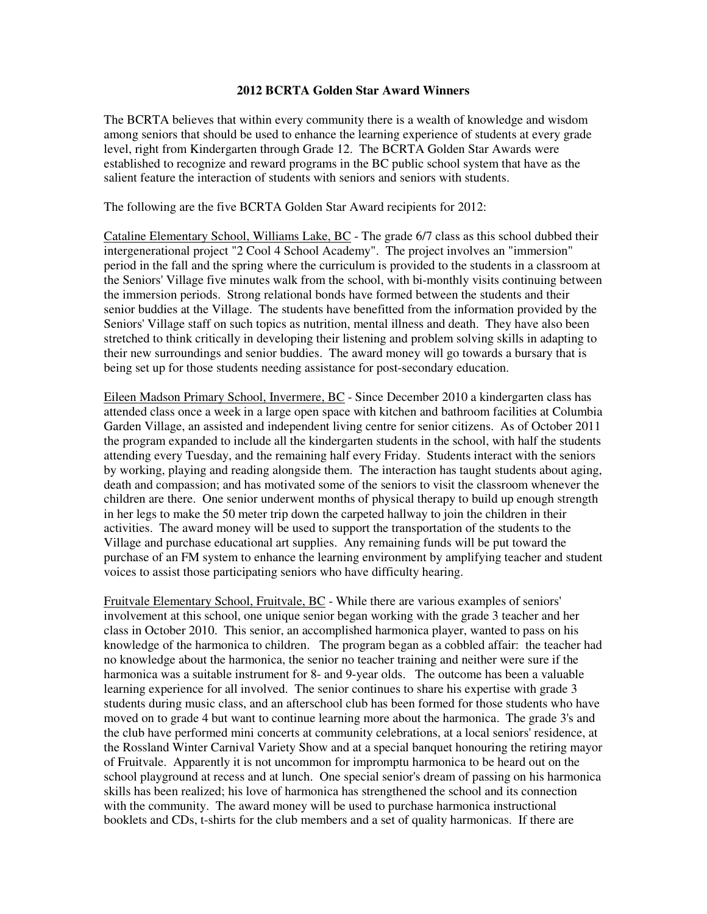## **2012 BCRTA Golden Star Award Winners**

The BCRTA believes that within every community there is a wealth of knowledge and wisdom among seniors that should be used to enhance the learning experience of students at every grade level, right from Kindergarten through Grade 12. The BCRTA Golden Star Awards were established to recognize and reward programs in the BC public school system that have as the salient feature the interaction of students with seniors and seniors with students.

The following are the five BCRTA Golden Star Award recipients for 2012:

Cataline Elementary School, Williams Lake, BC - The grade 6/7 class as this school dubbed their intergenerational project "2 Cool 4 School Academy". The project involves an "immersion" period in the fall and the spring where the curriculum is provided to the students in a classroom at the Seniors' Village five minutes walk from the school, with bi-monthly visits continuing between the immersion periods. Strong relational bonds have formed between the students and their senior buddies at the Village. The students have benefitted from the information provided by the Seniors' Village staff on such topics as nutrition, mental illness and death. They have also been stretched to think critically in developing their listening and problem solving skills in adapting to their new surroundings and senior buddies. The award money will go towards a bursary that is being set up for those students needing assistance for post-secondary education.

Eileen Madson Primary School, Invermere, BC - Since December 2010 a kindergarten class has attended class once a week in a large open space with kitchen and bathroom facilities at Columbia Garden Village, an assisted and independent living centre for senior citizens. As of October 2011 the program expanded to include all the kindergarten students in the school, with half the students attending every Tuesday, and the remaining half every Friday. Students interact with the seniors by working, playing and reading alongside them. The interaction has taught students about aging, death and compassion; and has motivated some of the seniors to visit the classroom whenever the children are there. One senior underwent months of physical therapy to build up enough strength in her legs to make the 50 meter trip down the carpeted hallway to join the children in their activities. The award money will be used to support the transportation of the students to the Village and purchase educational art supplies. Any remaining funds will be put toward the purchase of an FM system to enhance the learning environment by amplifying teacher and student voices to assist those participating seniors who have difficulty hearing.

Fruitvale Elementary School, Fruitvale, BC - While there are various examples of seniors' involvement at this school, one unique senior began working with the grade 3 teacher and her class in October 2010. This senior, an accomplished harmonica player, wanted to pass on his knowledge of the harmonica to children. The program began as a cobbled affair: the teacher had no knowledge about the harmonica, the senior no teacher training and neither were sure if the harmonica was a suitable instrument for 8- and 9-year olds. The outcome has been a valuable learning experience for all involved. The senior continues to share his expertise with grade 3 students during music class, and an afterschool club has been formed for those students who have moved on to grade 4 but want to continue learning more about the harmonica. The grade 3's and the club have performed mini concerts at community celebrations, at a local seniors' residence, at the Rossland Winter Carnival Variety Show and at a special banquet honouring the retiring mayor of Fruitvale. Apparently it is not uncommon for impromptu harmonica to be heard out on the school playground at recess and at lunch. One special senior's dream of passing on his harmonica skills has been realized; his love of harmonica has strengthened the school and its connection with the community. The award money will be used to purchase harmonica instructional booklets and CDs, t-shirts for the club members and a set of quality harmonicas. If there are